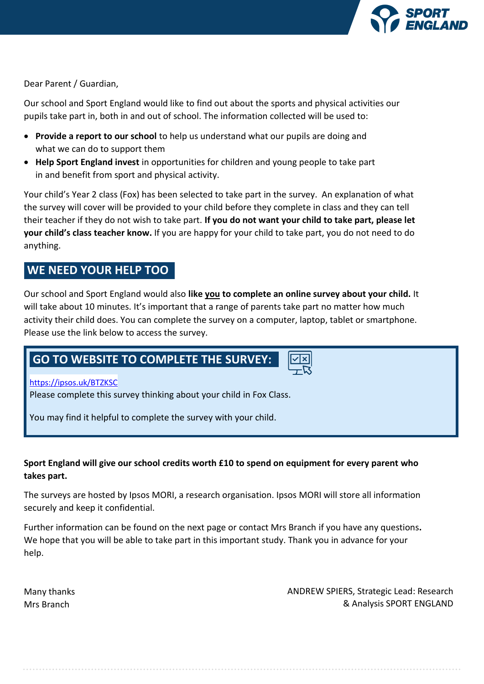

Dear Parent / Guardian,

Our school and Sport England would like to find out about the sports and physical activities our pupils take part in, both in and out of school. The information collected will be used to:

- **Provide a report to our school** to help us understand what our pupils are doing and what we can do to support them
- **Help Sport England invest** in opportunities for children and young people to take part in and benefit from sport and physical activity.

Your child's Year 2 class (Fox) has been selected to take part in the survey. An explanation of what the survey will cover will be provided to your child before they complete in class and they can tell their teacher if they do not wish to take part. **If you do not want your child to take part, please let your child's class teacher know.** If you are happy for your child to take part, you do not need to do anything.

# **WE NEED YOUR HELP TOO**

Our school and Sport England would also **like you to complete an online survey about your child.** It will take about 10 minutes. It's important that a range of parents take part no matter how much activity their child does. You can complete the survey on a computer, laptop, tablet or smartphone. Please use the link below to access the survey.

# **GO TO WEBSITE TO COMPLETE THE SURVEY:**

# https://ipsos.uk/BTZKSC

Please complete this survey thinking about your child in Fox Class.

You may find it helpful to complete the survey with your child.

# **Sport England will give our school credits worth £10 to spend on equipment for every parent who takes part.**

The surveys are hosted by Ipsos MORI, a research organisation. Ipsos MORI will store all information securely and keep it confidential.

Further information can be found on the next page or contact Mrs Branch if you have any questions**.**  We hope that you will be able to take part in this important study. Thank you in advance for your help.

Many thanks Mrs Branch

ANDREW SPIERS, Strategic Lead: Research & Analysis SPORT ENGLAND